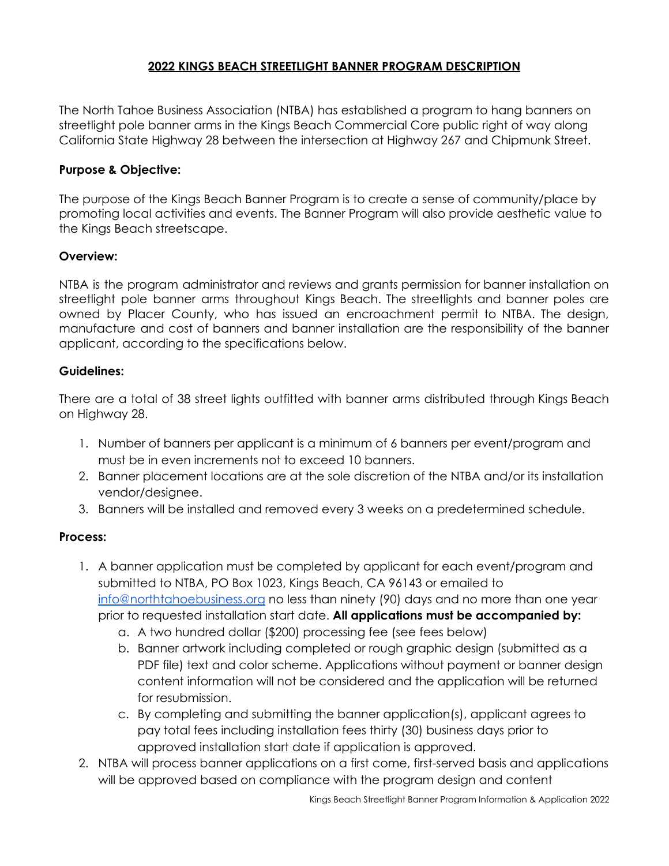# **2022 KINGS BEACH STREETLIGHT BANNER PROGRAM DESCRIPTION**

The North Tahoe Business Association (NTBA) has established a program to hang banners on streetlight pole banner arms in the Kings Beach Commercial Core public right of way along California State Highway 28 between the intersection at Highway 267 and Chipmunk Street.

## **Purpose & Objective:**

The purpose of the Kings Beach Banner Program is to create a sense of community/place by promoting local activities and events. The Banner Program will also provide aesthetic value to the Kings Beach streetscape.

# **Overview:**

NTBA is the program administrator and reviews and grants permission for banner installation on streetlight pole banner arms throughout Kings Beach. The streetlights and banner poles are owned by Placer County, who has issued an encroachment permit to NTBA. The design, manufacture and cost of banners and banner installation are the responsibility of the banner applicant, according to the specifications below.

## **Guidelines:**

There are a total of 38 street lights outfitted with banner arms distributed through Kings Beach on Highway 28.

- 1. Number of banners per applicant is a minimum of 6 banners per event/program and must be in even increments not to exceed 10 banners.
- 2. Banner placement locations are at the sole discretion of the NTBA and/or its installation vendor/designee.
- 3. Banners will be installed and removed every 3 weeks on a predetermined schedule.

## **Process:**

- 1. A banner application must be completed by applicant for each event/program and submitted to NTBA, PO Box 1023, Kings Beach, CA 96143 or emailed to [info@northtahoebusiness.org](mailto:info@northtahoebusiness.org) no less than ninety (90) days and no more than one year prior to requested installation start date. **All applications must be accompanied by:**
	- a. A two hundred dollar (\$200) processing fee (see fees below)
	- b. Banner artwork including completed or rough graphic design (submitted as a PDF file) text and color scheme. Applications without payment or banner design content information will not be considered and the application will be returned for resubmission.
	- c. By completing and submitting the banner application(s), applicant agrees to pay total fees including installation fees thirty (30) business days prior to approved installation start date if application is approved.
- 2. NTBA will process banner applications on a first come, first-served basis and applications will be approved based on compliance with the program design and content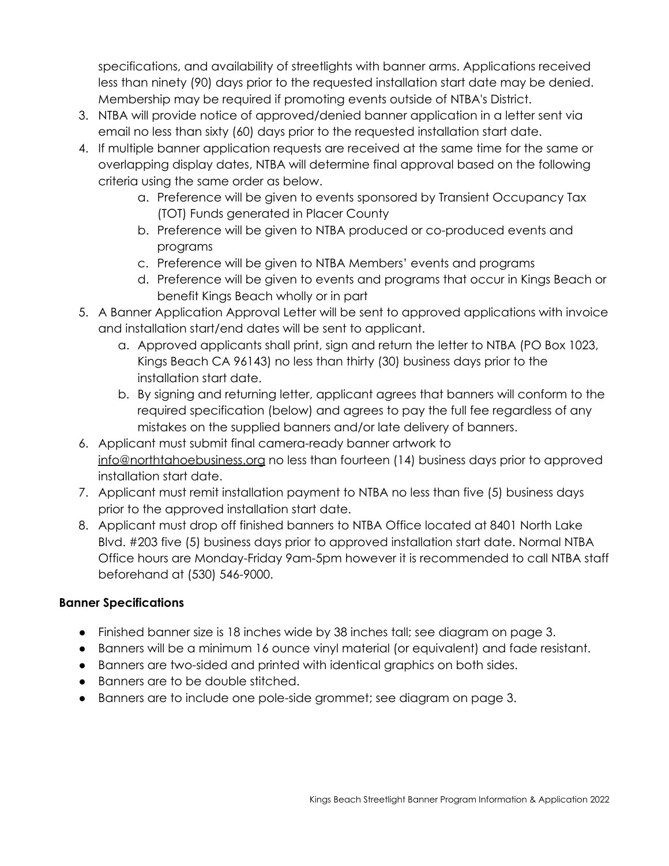specifications, and availability of streetlights with banner arms. Applications received less than ninety (90) days prior to the requested installation start date may be denied. Membership may be required if promoting events outside of NTBA's District.

- 3. NTBA will provide notice of approved/denied banner application in a letter sent via email no less than sixty (60) days prior to the requested installation start date.
- 4. If multiple banner application requests are received at the same time for the same or overlapping display dates, NTBA will determine final approval based on the following criteria using the same order as below.
	- a. Preference will be given to events sponsored by Transient Occupancy Tax (TOT) Funds generated in Placer County
	- b. Preference will be given to NTBA produced or co-produced events and programs
	- c. Preference will be given to NTBA Members' events and programs
	- d. Preference will be given to events and programs that occur in Kings Beach or benefit Kings Beach wholly or in part
- 5. A Banner Application Approval Letter will be sent to approved applications with invoice and installation start/end dates will be sent to applicant.
	- a. Approved applicants shall print, sign and return the letter to NTBA (PO Box 1023, Kings Beach CA 96143) no less than thirty (30) business days prior to the installation start date.
	- b. By signing and returning letter, applicant agrees that banners will conform to the required specification (below) and agrees to pay the full fee regardless of any mistakes on the supplied banners and/or late delivery of banners.
- 6. Applicant must submit final camera-ready banner artwork to [info@northtahoebusiness.org](mailto:info@northtahoebusiness.org) no less than fourteen (14) business days prior to approved installation start date.
- 7. Applicant must remit installation payment to NTBA no less than five (5) business days prior to the approved installation start date.
- 8. Applicant must drop off finished banners to NTBA Office located at 8401 North Lake Blvd. #203 five (5) business days prior to approved installation start date. Normal NTBA Office hours are Monday-Friday 9am-5pm however it is recommended to call NTBA staff beforehand at (530) 546-9000.

# **Banner Specifications**

- Finished banner size is 18 inches wide by 38 inches tall; see diagram on page 3.
- Banners will be a minimum 16 ounce vinyl material (or equivalent) and fade resistant.
- Banners are two-sided and printed with identical graphics on both sides.
- **●** Banners are to be double stitched.
- **●** Banners are to include one pole-side grommet; see diagram on page 3.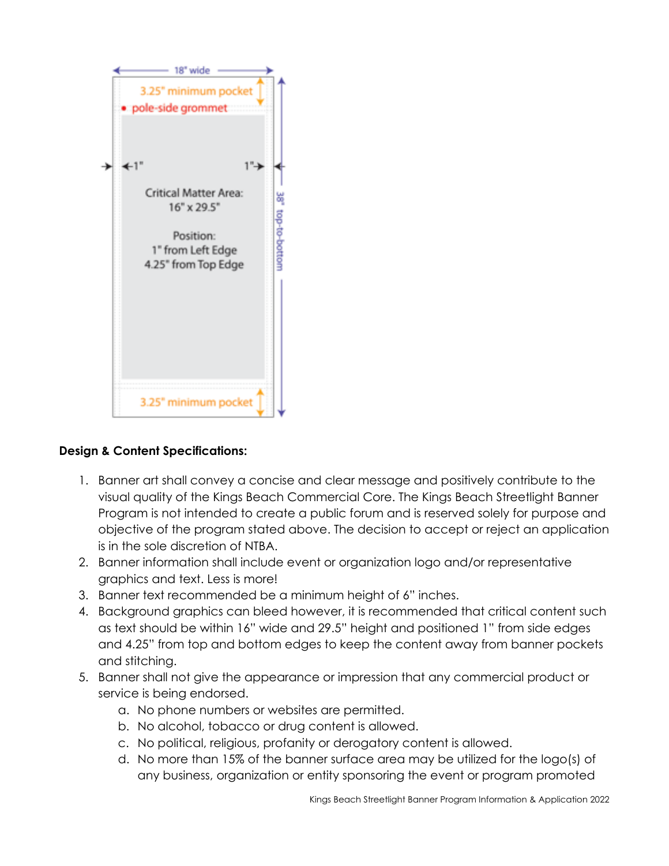

# **Design & Content Specifications:**

- 1. Banner art shall convey a concise and clear message and positively contribute to the visual quality of the Kings Beach Commercial Core. The Kings Beach Streetlight Banner Program is not intended to create a public forum and is reserved solely for purpose and objective of the program stated above. The decision to accept or reject an application is in the sole discretion of NTBA.
- 2. Banner information shall include event or organization logo and/or representative graphics and text. Less is more!
- 3. Banner text recommended be a minimum height of 6" inches.
- 4. Background graphics can bleed however, it is recommended that critical content such as text should be within 16" wide and 29.5" height and positioned 1" from side edges and 4.25" from top and bottom edges to keep the content away from banner pockets and stitching.
- 5. Banner shall not give the appearance or impression that any commercial product or service is being endorsed.
	- a. No phone numbers or websites are permitted.
	- b. No alcohol, tobacco or drug content is allowed.
	- c. No political, religious, profanity or derogatory content is allowed.
	- d. No more than 15% of the banner surface area may be utilized for the logo(s) of any business, organization or entity sponsoring the event or program promoted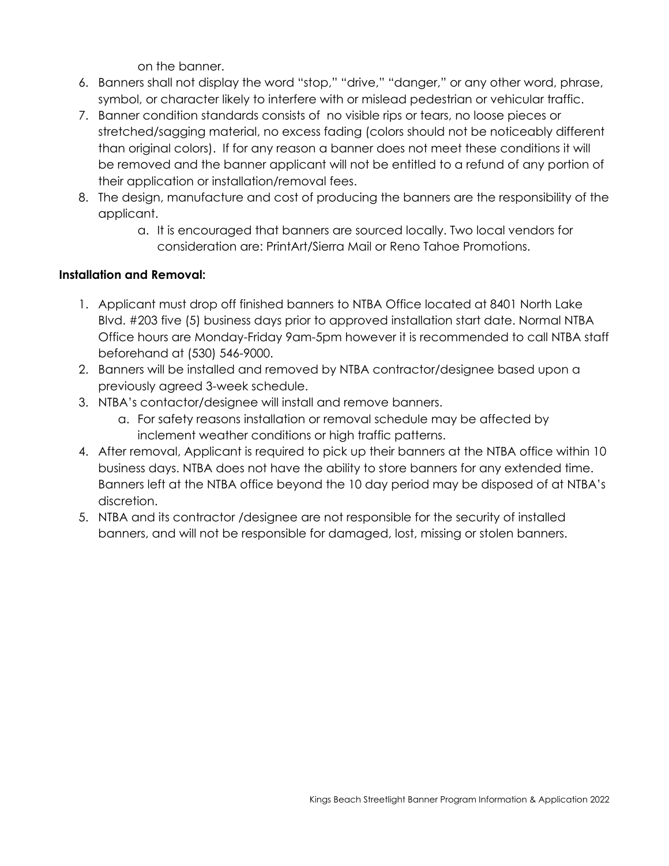on the banner.

- 6. Banners shall not display the word "stop," "drive," "danger," or any other word, phrase, symbol, or character likely to interfere with or mislead pedestrian or vehicular traffic.
- 7. Banner condition standards consists of no visible rips or tears, no loose pieces or stretched/sagging material, no excess fading (colors should not be noticeably different than original colors). If for any reason a banner does not meet these conditions it will be removed and the banner applicant will not be entitled to a refund of any portion of their application or installation/removal fees.
- 8. The design, manufacture and cost of producing the banners are the responsibility of the applicant.
	- a. It is encouraged that banners are sourced locally. Two local vendors for consideration are: PrintArt/Sierra Mail or Reno Tahoe Promotions.

# **Installation and Removal:**

- 1. Applicant must drop off finished banners to NTBA Office located at 8401 North Lake Blvd. #203 five (5) business days prior to approved installation start date. Normal NTBA Office hours are Monday-Friday 9am-5pm however it is recommended to call NTBA staff beforehand at (530) 546-9000.
- 2. Banners will be installed and removed by NTBA contractor/designee based upon a previously agreed 3-week schedule.
- 3. NTBA's contactor/designee will install and remove banners.
	- a. For safety reasons installation or removal schedule may be affected by inclement weather conditions or high traffic patterns.
- 4. After removal, Applicant is required to pick up their banners at the NTBA office within 10 business days. NTBA does not have the ability to store banners for any extended time. Banners left at the NTBA office beyond the 10 day period may be disposed of at NTBA's discretion.
- 5. NTBA and its contractor /designee are not responsible for the security of installed banners, and will not be responsible for damaged, lost, missing or stolen banners.